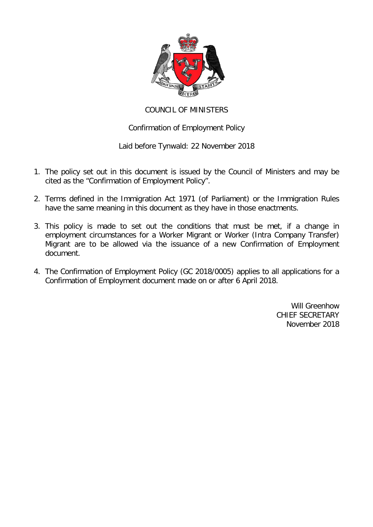

### COUNCIL OF MINISTERS

Confirmation of Employment Policy

Laid before Tynwald: 22 November 2018

- 1. The policy set out in this document is issued by the Council of Ministers and may be cited as the "Confirmation of Employment Policy".
- 2. Terms defined in the Immigration Act 1971 (of Parliament) or the Immigration Rules have the same meaning in this document as they have in those enactments.
- 3. This policy is made to set out the conditions that must be met, if a change in employment circumstances for a Worker Migrant or Worker (Intra Company Transfer) Migrant are to be allowed via the issuance of a new Confirmation of Employment document.
- 4. The Confirmation of Employment Policy (GC 2018/0005) applies to all applications for a Confirmation of Employment document made on or after 6 April 2018.

Will Greenhow CHIEF SECRETARY November 2018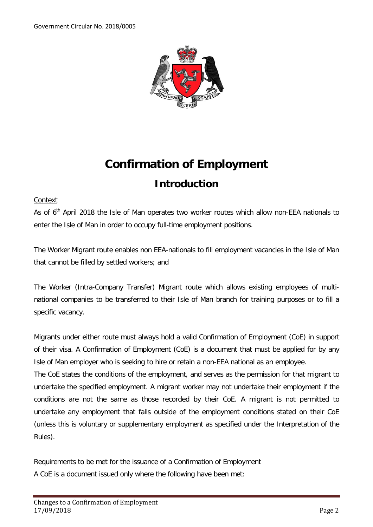

# **Confirmation of Employment Introduction**

### Context

As of  $6<sup>th</sup>$  April 2018 the Isle of Man operates two worker routes which allow non-EEA nationals to enter the Isle of Man in order to occupy full-time employment positions.

The Worker Migrant route enables non EEA-nationals to fill employment vacancies in the Isle of Man that cannot be filled by settled workers; and

The Worker (Intra-Company Transfer) Migrant route which allows existing employees of multinational companies to be transferred to their Isle of Man branch for training purposes or to fill a specific vacancy.

Migrants under either route must always hold a valid Confirmation of Employment (CoE) in support of their visa. A Confirmation of Employment (CoE) is a document that must be applied for by any Isle of Man employer who is seeking to hire or retain a non-EEA national as an employee.

The CoE states the conditions of the employment, and serves as the permission for that migrant to undertake the specified employment. A migrant worker may not undertake their employment if the conditions are not the same as those recorded by their CoE. A migrant is not permitted to undertake any employment that falls outside of the employment conditions stated on their CoE (unless this is voluntary or supplementary employment as specified under the Interpretation of the Rules).

### Requirements to be met for the issuance of a Confirmation of Employment

A CoE is a document issued only where the following have been met: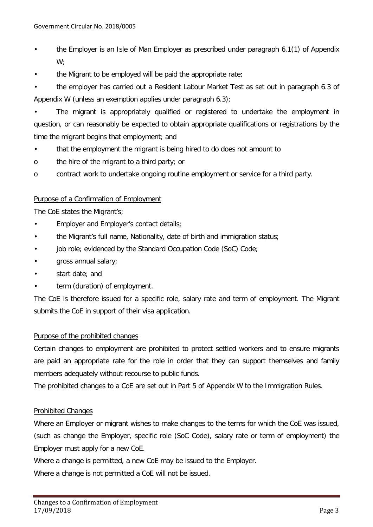- the Employer is an Isle of Man Employer as prescribed under paragraph 6.1(1) of Appendix W;
- the Migrant to be employed will be paid the appropriate rate;

• the employer has carried out a Resident Labour Market Test as set out in paragraph 6.3 of Appendix W (unless an exemption applies under paragraph 6.3);

The migrant is appropriately qualified or registered to undertake the employment in question, or can reasonably be expected to obtain appropriate qualifications or registrations by the time the migrant begins that employment; and

- that the employment the migrant is being hired to do does not amount to
- o the hire of the migrant to a third party; or
- o contract work to undertake ongoing routine employment or service for a third party.

#### Purpose of a Confirmation of Employment

The CoE states the Migrant's;

- Employer and Employer's contact details;
- the Migrant's full name, Nationality, date of birth and immigration status;
- job role; evidenced by the Standard Occupation Code (SoC) Code;
- gross annual salary;
- start date; and
- term (duration) of employment.

The CoE is therefore issued for a specific role, salary rate and term of employment. The Migrant submits the CoE in support of their visa application.

#### Purpose of the prohibited changes

Certain changes to employment are prohibited to protect settled workers and to ensure migrants are paid an appropriate rate for the role in order that they can support themselves and family members adequately without recourse to public funds.

The prohibited changes to a CoE are set out in Part 5 of Appendix W to the Immigration Rules.

#### Prohibited Changes

Where an Employer or migrant wishes to make changes to the terms for which the CoE was issued, (such as change the Employer, specific role (SoC Code), salary rate or term of employment) the Employer must apply for a new CoE.

Where a change is permitted, a new CoE may be issued to the Employer.

Where a change is not permitted a CoE will not be issued.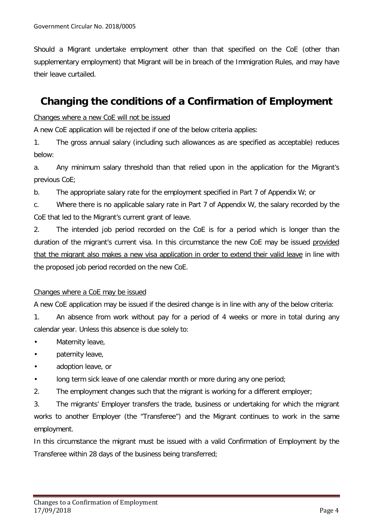Should a Migrant undertake employment other than that specified on the CoE (other than supplementary employment) that Migrant will be in breach of the Immigration Rules, and may have their leave curtailed.

## **Changing the conditions of a Confirmation of Employment**

#### Changes where a new CoE will not be issued

A new CoE application will be rejected if one of the below criteria applies:

1. The gross annual salary (including such allowances as are specified as acceptable) reduces below:

a. Any minimum salary threshold than that relied upon in the application for the Migrant's previous CoE;

b. The appropriate salary rate for the employment specified in Part 7 of Appendix W; or

c. Where there is no applicable salary rate in Part 7 of Appendix W, the salary recorded by the CoE that led to the Migrant's current grant of leave.

2. The intended job period recorded on the CoE is for a period which is longer than the duration of the migrant's current visa. In this circumstance the new CoE may be issued provided that the migrant also makes a new visa application in order to extend their valid leave in line with the proposed job period recorded on the new CoE.

#### Changes where a CoE may be issued

A new CoE application may be issued if the desired change is in line with any of the below criteria:

1. An absence from work without pay for a period of 4 weeks or more in total during any calendar year. Unless this absence is due solely to:

- Maternity leave,
- paternity leave,
- adoption leave, or
- long term sick leave of one calendar month or more during any one period;
- 2. The employment changes such that the migrant is working for a different employer;

3. The migrants' Employer transfers the trade, business or undertaking for which the migrant works to another Employer (the "Transferee") and the Migrant continues to work in the same employment.

In this circumstance the migrant must be issued with a valid Confirmation of Employment by the Transferee within 28 days of the business being transferred;